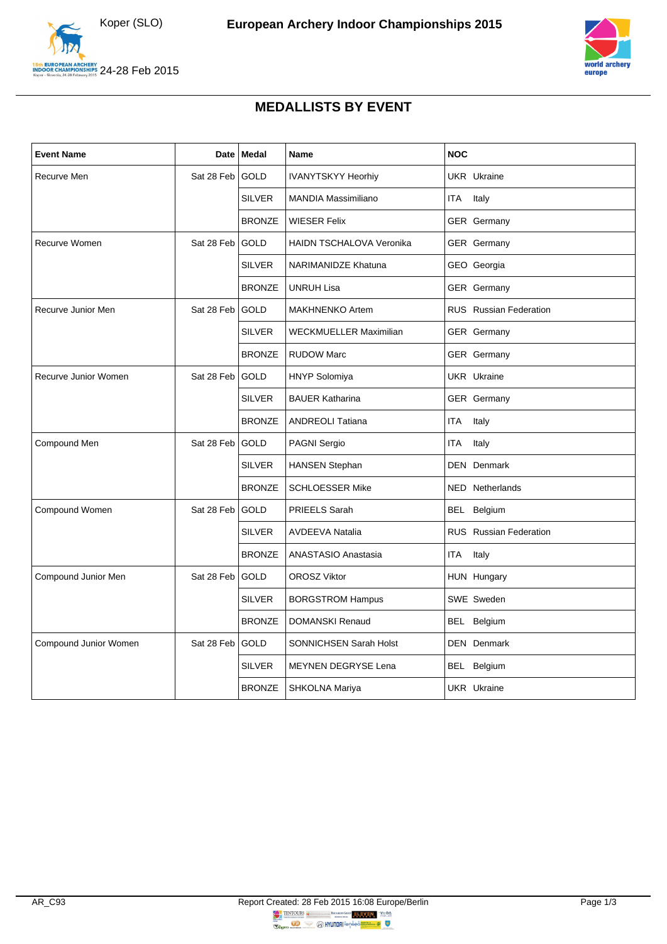



## **MEDALLISTS BY EVENT**

| <b>Event Name</b>     | Date       | <b>Medal</b>  | <b>Name</b>                     | <b>NOC</b>                    |
|-----------------------|------------|---------------|---------------------------------|-------------------------------|
| Recurve Men           | Sat 28 Feb | <b>GOLD</b>   | <b>IVANYTSKYY Heorhiy</b>       | <b>UKR</b> Ukraine            |
|                       |            | <b>SILVER</b> | <b>MANDIA Massimiliano</b>      | ITA<br>Italy                  |
|                       |            | <b>BRONZE</b> | <b>WIESER Felix</b>             | GER Germany                   |
| Recurve Women         | Sat 28 Feb | <b>GOLD</b>   | <b>HAIDN TSCHALOVA Veronika</b> | GER Germany                   |
|                       |            | <b>SILVER</b> | <b>NARIMANIDZE Khatuna</b>      | GEO Georgia                   |
|                       |            | <b>BRONZE</b> | <b>UNRUH Lisa</b>               | GER Germany                   |
| Recurve Junior Men    | Sat 28 Feb | GOLD          | <b>MAKHNENKO Artem</b>          | <b>RUS</b> Russian Federation |
|                       |            | <b>SILVER</b> | <b>WECKMUELLER Maximilian</b>   | GER Germany                   |
|                       |            | <b>BRONZE</b> | <b>RUDOW Marc</b>               | <b>GER</b> Germany            |
| Recurve Junior Women  | Sat 28 Feb | <b>GOLD</b>   | <b>HNYP Solomiya</b>            | <b>UKR</b> Ukraine            |
|                       |            | <b>SILVER</b> | <b>BAUER Katharina</b>          | <b>GER</b> Germany            |
|                       |            | <b>BRONZE</b> | <b>ANDREOLI Tatiana</b>         | <b>ITA</b><br>Italy           |
| Compound Men          | Sat 28 Feb | <b>GOLD</b>   | PAGNI Sergio                    | <b>ITA</b><br>Italy           |
|                       |            | <b>SILVER</b> | <b>HANSEN Stephan</b>           | <b>DEN</b> Denmark            |
|                       |            | <b>BRONZE</b> | <b>SCHLOESSER Mike</b>          | NED Netherlands               |
| Compound Women        | Sat 28 Feb | <b>GOLD</b>   | PRIEELS Sarah                   | BEL Belgium                   |
|                       |            | <b>SILVER</b> | <b>AVDEEVA Natalia</b>          | <b>RUS</b> Russian Federation |
|                       |            | <b>BRONZE</b> | ANASTASIO Anastasia             | ITA<br>Italy                  |
| Compound Junior Men   | Sat 28 Feb | <b>GOLD</b>   | <b>OROSZ Viktor</b>             | HUN Hungary                   |
|                       |            | <b>SILVER</b> | <b>BORGSTROM Hampus</b>         | SWE Sweden                    |
|                       |            | <b>BRONZE</b> | <b>DOMANSKI Renaud</b>          | BEL Belgium                   |
| Compound Junior Women | Sat 28 Feb | <b>GOLD</b>   | SONNICHSEN Sarah Holst          | <b>DEN</b> Denmark            |
|                       |            | <b>SILVER</b> | MEYNEN DEGRYSE Lena             | BEL Belgium                   |
|                       |            | <b>BRONZE</b> | <b>SHKOLNA Mariya</b>           | <b>UKR</b> Ukraine            |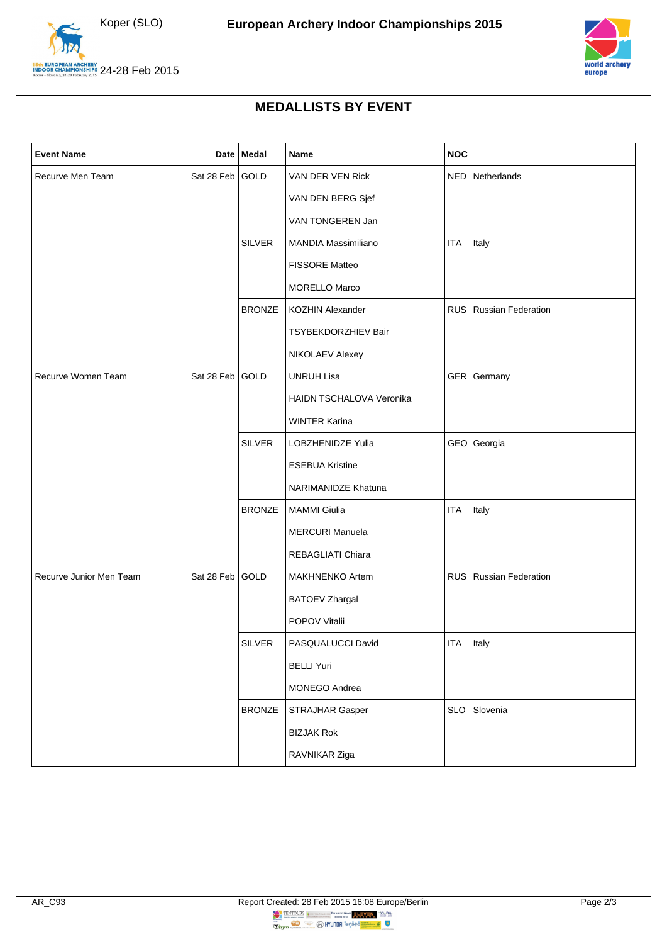



## **MEDALLISTS BY EVENT**

| <b>Event Name</b>       |                 | Date Medal    | Name                            | <b>NOC</b>             |
|-------------------------|-----------------|---------------|---------------------------------|------------------------|
| Recurve Men Team        | Sat 28 Feb GOLD |               | VAN DER VEN Rick                | NED Netherlands        |
|                         |                 |               | VAN DEN BERG Sjef               |                        |
|                         |                 |               | VAN TONGEREN Jan                |                        |
|                         |                 | <b>SILVER</b> | <b>MANDIA Massimiliano</b>      | Italy<br>ITA           |
|                         |                 |               | FISSORE Matteo                  |                        |
|                         |                 |               | <b>MORELLO Marco</b>            |                        |
|                         |                 | <b>BRONZE</b> | <b>KOZHIN Alexander</b>         | RUS Russian Federation |
|                         |                 |               | TSYBEKDORZHIEV Bair             |                        |
|                         |                 |               | NIKOLAEV Alexey                 |                        |
| Recurve Women Team      | Sat 28 Feb GOLD |               | <b>UNRUH Lisa</b>               | GER Germany            |
|                         |                 |               | <b>HAIDN TSCHALOVA Veronika</b> |                        |
|                         |                 |               | <b>WINTER Karina</b>            |                        |
|                         |                 | <b>SILVER</b> | LOBZHENIDZE Yulia               | GEO Georgia            |
|                         |                 |               | <b>ESEBUA Kristine</b>          |                        |
|                         |                 |               | NARIMANIDZE Khatuna             |                        |
|                         |                 | <b>BRONZE</b> | <b>MAMMI Giulia</b>             | Italy<br><b>ITA</b>    |
|                         |                 |               | <b>MERCURI Manuela</b>          |                        |
|                         |                 |               | REBAGLIATI Chiara               |                        |
| Recurve Junior Men Team | Sat 28 Feb GOLD |               | <b>MAKHNENKO Artem</b>          | RUS Russian Federation |
|                         |                 |               | <b>BATOEV Zhargal</b>           |                        |
|                         |                 |               | POPOV Vitalii                   |                        |
|                         |                 | <b>SILVER</b> | PASQUALUCCI David               | ITA<br>Italy           |
|                         |                 |               | <b>BELLI Yuri</b>               |                        |
|                         |                 |               | MONEGO Andrea                   |                        |
|                         |                 | <b>BRONZE</b> | STRAJHAR Gasper                 | SLO Slovenia           |
|                         |                 |               | <b>BIZJAK Rok</b>               |                        |
|                         |                 |               | RAVNIKAR Ziga                   |                        |